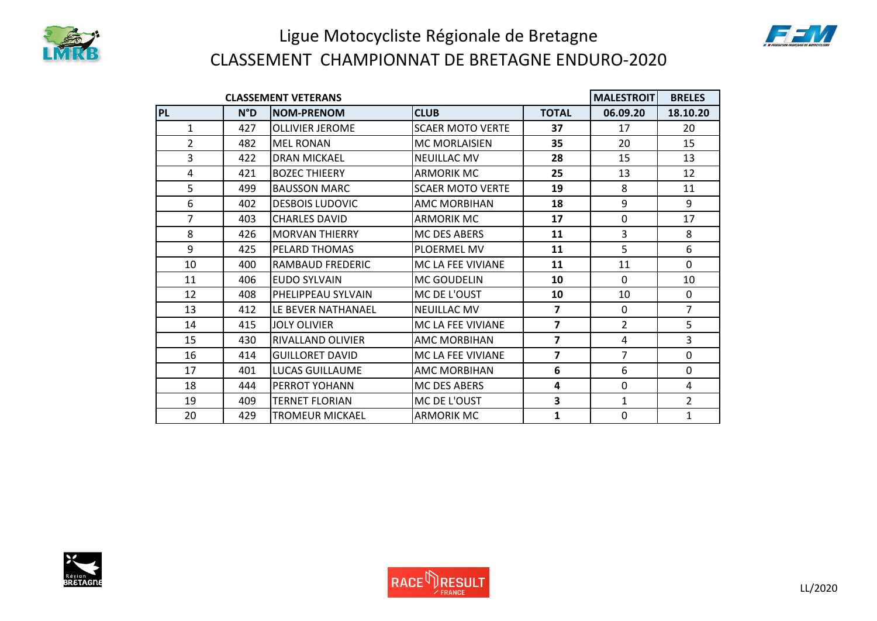

## Ligue Motocycliste Régionale de Bretagne CLASSEMENT CHAMPIONNAT DE BRETAGNE ENDURO-2020

| <b>CLASSEMENT VETERANS</b> |              |                          |                         |                         |                | <b>BRELES</b>  |
|----------------------------|--------------|--------------------------|-------------------------|-------------------------|----------------|----------------|
| <b>PL</b>                  | $N^{\circ}D$ | <b>NOM-PRENOM</b>        | <b>CLUB</b>             | <b>TOTAL</b>            | 06.09.20       | 18.10.20       |
| 1                          | 427          | <b>OLLIVIER JEROME</b>   | <b>SCAER MOTO VERTE</b> | 37                      | 17             | 20             |
| $\overline{2}$             | 482          | <b>MEL RONAN</b>         | <b>MC MORLAISIEN</b>    | 35                      | 20             | 15             |
| 3                          | 422          | <b>DRAN MICKAEL</b>      | <b>NEUILLAC MV</b>      | 28                      | 15             | 13             |
| 4                          | 421          | <b>BOZEC THIEERY</b>     | <b>ARMORIK MC</b>       | 25                      | 13             | 12             |
| 5                          | 499          | <b>BAUSSON MARC</b>      | <b>SCAER MOTO VERTE</b> | 19                      | 8              | 11             |
| 6                          | 402          | <b>DESBOIS LUDOVIC</b>   | <b>AMC MORBIHAN</b>     | 18                      | 9              | 9              |
| $\overline{7}$             | 403          | <b>CHARLES DAVID</b>     | <b>ARMORIK MC</b>       | 17                      | $\mathbf 0$    | 17             |
| 8                          | 426          | <b>MORVAN THIERRY</b>    | <b>MC DES ABERS</b>     | 11                      | $\overline{3}$ | 8              |
| 9                          | 425          | PELARD THOMAS            | <b>PLOERMEL MV</b>      | 11                      | 5              | 6              |
| 10                         | 400          | RAMBAUD FREDERIC         | MC LA FEE VIVIANE       | 11                      | 11             | $\Omega$       |
| 11                         | 406          | <b>EUDO SYLVAIN</b>      | <b>MC GOUDELIN</b>      | 10                      | $\Omega$       | 10             |
| 12                         | 408          | PHELIPPEAU SYLVAIN       | MC DE L'OUST            | 10                      | 10             | 0              |
| 13                         | 412          | LE BEVER NATHANAEL       | <b>NEUILLAC MV</b>      | $\overline{ }$          | $\mathbf 0$    | $\overline{7}$ |
| 14                         | 415          | <b>JOLY OLIVIER</b>      | MC LA FEE VIVIANE       | $\overline{7}$          | $\overline{2}$ | 5              |
| 15                         | 430          | <b>RIVALLAND OLIVIER</b> | <b>AMC MORBIHAN</b>     | $\overline{ }$          | 4              | 3              |
| 16                         | 414          | <b>GUILLORET DAVID</b>   | MC LA FEE VIVIANE       | $\overline{ }$          | $\overline{7}$ | $\Omega$       |
| 17                         | 401          | <b>LUCAS GUILLAUME</b>   | <b>AMC MORBIHAN</b>     | $6\phantom{1}6$         | 6              | $\mathbf 0$    |
| 18                         | 444          | PERROT YOHANN            | <b>MC DES ABERS</b>     | 4                       | $\mathbf 0$    | $\overline{4}$ |
| 19                         | 409          | <b>TERNET FLORIAN</b>    | MC DE L'OUST            | $\overline{\mathbf{3}}$ | $\mathbf{1}$   | $\overline{2}$ |
| 20                         | 429          | <b>TROMEUR MICKAEL</b>   | <b>ARMORIK MC</b>       | 1                       | $\mathbf 0$    | $\mathbf{1}$   |